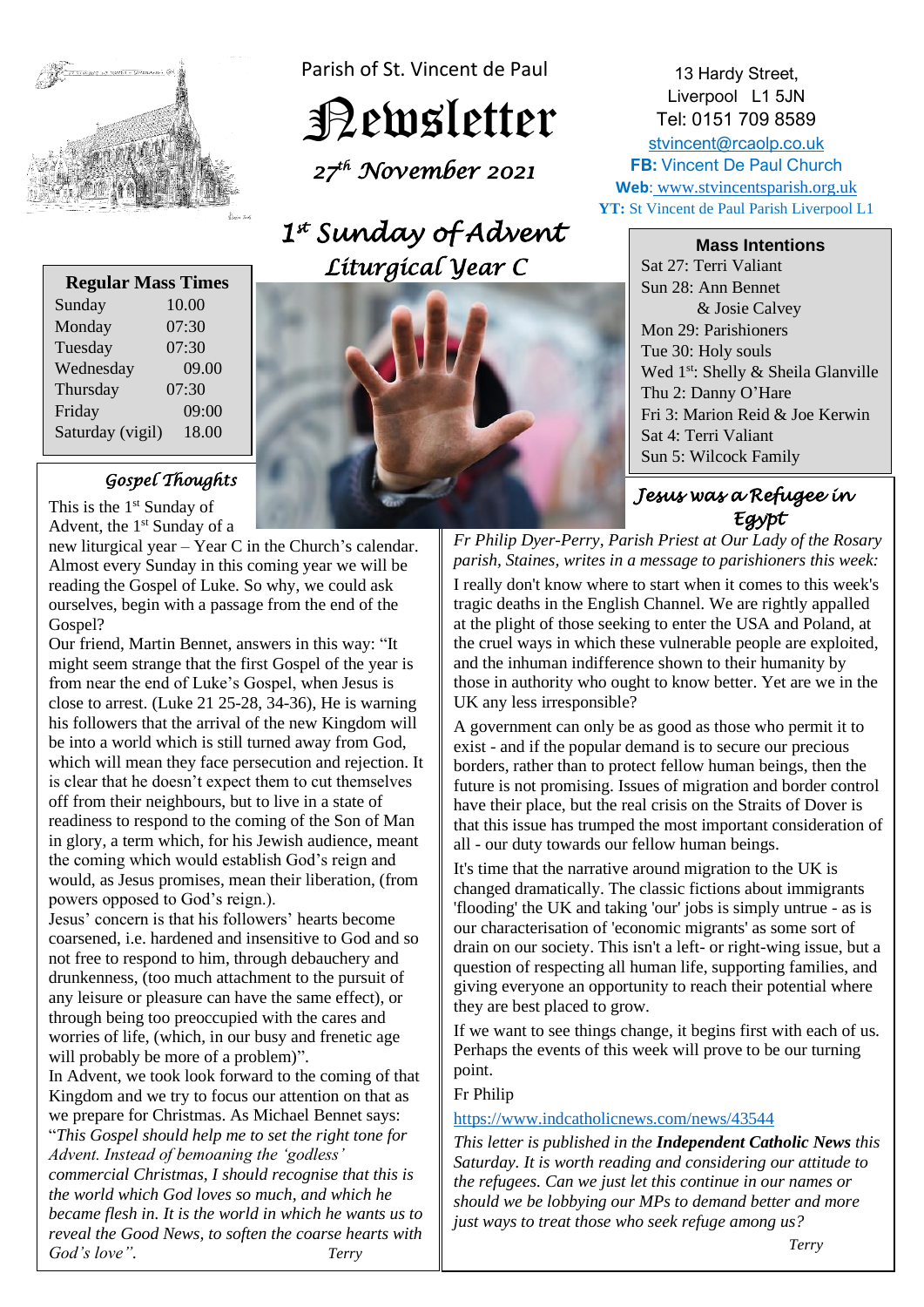

Parish of St. Vincent de Paul

Newsletter

 *27 th November 2021* 

# *1 st Sunday of Advent Liturgical Year C*

| <b>Regular Mass Times</b> |       |
|---------------------------|-------|
| Sunday                    | 10.00 |
| Monday                    | 07:30 |
| Tuesday                   | 07:30 |
| Wednesday                 | 09.00 |
| Thursday                  | 07:30 |
| Friday                    | 09:00 |
| Saturday (vigil)          | 18.00 |
|                           |       |

## *Gospel Thoughts*

This is the  $1<sup>st</sup>$  Sunday of Advent, the 1<sup>st</sup> Sunday of a

new liturgical year – Year C in the Church's calendar. Almost every Sunday in this coming year we will be reading the Gospel of Luke. So why, we could ask ourselves, begin with a passage from the end of the Gospel?

Our friend, Martin Bennet, answers in this way: "It might seem strange that the first Gospel of the year is from near the end of Luke's Gospel, when Jesus is close to arrest. (Luke 21 25-28, 34-36), He is warning his followers that the arrival of the new Kingdom will be into a world which is still turned away from God, which will mean they face persecution and rejection. It is clear that he doesn't expect them to cut themselves off from their neighbours, but to live in a state of readiness to respond to the coming of the Son of Man in glory, a term which, for his Jewish audience, meant the coming which would establish God's reign and would, as Jesus promises, mean their liberation, (from powers opposed to God's reign.).

Jesus' concern is that his followers' hearts become coarsened, i.e. hardened and insensitive to God and so not free to respond to him, through debauchery and drunkenness, (too much attachment to the pursuit of any leisure or pleasure can have the same effect), or through being too preoccupied with the cares and worries of life, (which, in our busy and frenetic age will probably be more of a problem)".

In Advent, we took look forward to the coming of that Kingdom and we try to focus our attention on that as we prepare for Christmas. As Michael Bennet says: "*This Gospel should help me to set the right tone for Advent. Instead of bemoaning the 'godless' commercial Christmas, I should recognise that this is the world which God loves so much, and which he became flesh in. It is the world in which he wants us to reveal the Good News, to soften the coarse hearts with God's love". Terry* 



13 Hardy Street, Liverpool L1 5JN Tel: 0151 709 8589 [stvincent@rcaolp.co.uk](mailto:stvincent@rcaolp.co.uk) **FB:** Vincent De Paul Church **Web**: www.stvincentsparish.org.uk **YT:** St Vincent de Paul Parish Liverpool L1

**Mass Intentions**

Sat 27: Terri Valiant Sun 28: Ann Bennet & Josie Calvey Mon 29: Parishioners Tue 30: Holy souls Wed 1<sup>st</sup>: Shelly & Sheila Glanville Thu 2: Danny O'Hare Fri 3: Marion Reid & Joe Kerwin Sat 4: Terri Valiant Sun 5: Wilcock Family

## *Jesus was a Refugee in Egypt*

*Fr Philip Dyer-Perry, Parish Priest at Our Lady of the Rosary parish, Staines, writes in a message to parishioners this week:* 

I really don't know where to start when it comes to this week's tragic deaths in the English Channel. We are rightly appalled at the plight of those seeking to enter the USA and Poland, at the cruel ways in which these vulnerable people are exploited, and the inhuman indifference shown to their humanity by those in authority who ought to know better. Yet are we in the UK any less irresponsible?

A government can only be as good as those who permit it to exist - and if the popular demand is to secure our precious borders, rather than to protect fellow human beings, then the future is not promising. Issues of migration and border control have their place, but the real crisis on the Straits of Dover is that this issue has trumped the most important consideration of all - our duty towards our fellow human beings.

It's time that the narrative around migration to the UK is changed dramatically. The classic fictions about immigrants 'flooding' the UK and taking 'our' jobs is simply untrue - as is our characterisation of 'economic migrants' as some sort of drain on our society. This isn't a left- or right-wing issue, but a question of respecting all human life, supporting families, and giving everyone an opportunity to reach their potential where they are best placed to grow.

If we want to see things change, it begins first with each of us. Perhaps the events of this week will prove to be our turning point.

## Fr Philip

## <https://www.indcatholicnews.com/news/43544>

*This letter is published in the Independent Catholic News this Saturday. It is worth reading and considering our attitude to the refugees. Can we just let this continue in our names or should we be lobbying our MPs to demand better and more just ways to treat those who seek refuge among us?*